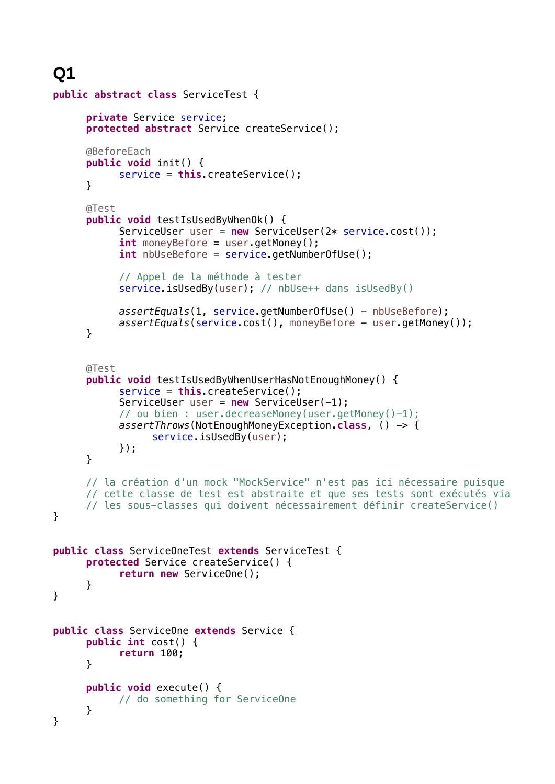**Q1**

```
public abstract class ServiceTest {
     private Service service;
     protected abstract Service createService(); 
     @BeforeEach
     public void init() {
           service = this.createService();
     }
     @Test
     public void testIsUsedByWhenOk() {
           ServiceUser user = new ServiceUser(2* service.cost());
           int moneyBefore = user.getMoney();
           int nbUseBefore = service.getNumberOfUse();
           // Appel de la méthode à tester
           service.isUsedBy(user); // nbUse++ dans isUsedBy()
           assertEquals(1, service.getNumberOfUse() - nbUseBefore);
           assertEquals(service.cost(), moneyBefore - user.getMoney()); 
     }
     @Test
     public void testIsUsedByWhenUserHasNotEnoughMoney() {
           service = this.createService();
           ServiceUser user = new ServiceUser(-1);
           // ou bien : user.decreaseMoney(user.getMoney()-1); 
           assertThrows(NotEnoughMoneyException.class, () -> {
                 service.isUsedBy(user);
           });
     }
     // la création d'un mock "MockService" n'est pas ici nécessaire puisque 
     // cette classe de test est abstraite et que ses tests sont exécutés via 
     // les sous-classes qui doivent nécessairement définir createService()
}
public class ServiceOneTest extends ServiceTest {
     protected Service createService() {
           return new ServiceOne();
     }
}
public class ServiceOne extends Service {
     public int cost() {
           return 100;
     }
     public void execute() {
           // do something for ServiceOne
     }
}
```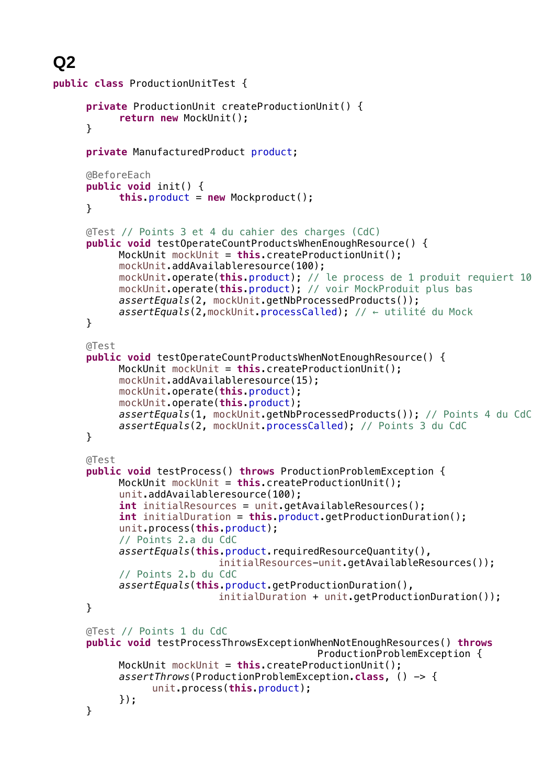## **Q2**

```
public class ProductionUnitTest {
     private ProductionUnit createProductionUnit() {
           return new MockUnit();
     }
     private ManufacturedProduct product;
     @BeforeEach
     public void init() {
           this.product = new Mockproduct();
     }
     @Test // Points 3 et 4 du cahier des charges (CdC)
     public void testOperateCountProductsWhenEnoughResource() {
           MockUnit mockUnit = this.createProductionUnit();
           mockUnit.addAvailableresource(100);
           mockUnit.operate(this.product); // le process de 1 produit requiert 10
           mockUnit.operate(this.product); // voir MockProduit plus bas
           assertEquals(2, mockUnit.getNbProcessedProducts());
           assertEquals(2,mockUnit.processCalled); // ← utilité du Mock
     }
     @Test
     public void testOperateCountProductsWhenNotEnoughResource() {
           MockUnit mockUnit = this.createProductionUnit();
           mockUnit.addAvailableresource(15);
           mockUnit.operate(this.product);
           mockUnit.operate(this.product);
           assertEquals(1, mockUnit.getNbProcessedProducts()); // Points 4 du CdC
           assertEquals(2, mockUnit.processCalled); // Points 3 du CdC
     }
     @Test
     public void testProcess() throws ProductionProblemException {
           MockUnit mockUnit = this.createProductionUnit();
           unit.addAvailableresource(100);
           int initialResources = unit.getAvailableResources();
           int initialDuration = this.product.getProductionDuration();
           unit.process(this.product);
           // Points 2.a du CdC
           assertEquals(this.product.requiredResourceQuantity(), 
                            initialResources-unit.getAvailableResources());
           // Points 2.b du CdC
           assertEquals(this.product.getProductionDuration(), 
                            initialDuration + unit.getProductionDuration());
     }
     @Test // Points 1 du CdC
     public void testProcessThrowsExceptionWhenNotEnoughResources() throws
                                             ProductionProblemException {
           MockUnit mockUnit = this.createProductionUnit();
           assertThrows(ProductionProblemException.class, () -> {
                 unit.process(this.product);
           });
     }
```